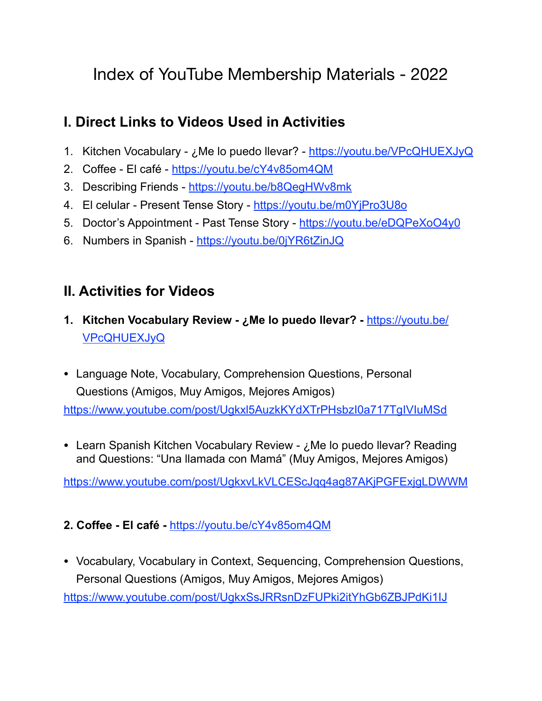# Index of YouTube Membership Materials - 2022

# **I. Direct Links to Videos Used in Activities**

- 1. Kitchen Vocabulary ¿Me lo puedo llevar? -<https://youtu.be/VPcQHUEXJyQ>
- 2. Coffee El café -<https://youtu.be/cY4v85om4QM>
- 3. Describing Friends -<https://youtu.be/b8QegHWv8mk>
- 4. El celular Present Tense Story <https://youtu.be/m0YjPro3U8o>
- 5. Doctor's Appointment Past Tense Story <https://youtu.be/eDQPeXoO4y0>
- 6. Numbers in Spanish -<https://youtu.be/0jYR6tZinJQ>

# **II. Activities for Videos**

- **1. Kitchen Vocabulary Review ¿Me lo puedo llevar? -** [https://youtu.be/](https://youtu.be/VPcQHUEXJyQ) [VPcQHUEXJyQ](https://youtu.be/VPcQHUEXJyQ)
- Language Note, Vocabulary, Comprehension Questions, Personal Questions (Amigos, Muy Amigos, Mejores Amigos)

<https://www.youtube.com/post/Ugkxl5AuzkKYdXTrPHsbzI0a717TgIVIuMSd>

• Learn Spanish Kitchen Vocabulary Review - ¿Me lo puedo llevar? Reading and Questions: "Una llamada con Mamá" (Muy Amigos, Mejores Amigos)

<https://www.youtube.com/post/UgkxvLkVLCEScJqq4ag87AKjPGFExjgLDWWM>

#### **2. Coffee - El café -** <https://youtu.be/cY4v85om4QM>

• Vocabulary, Vocabulary in Context, Sequencing, Comprehension Questions, Personal Questions (Amigos, Muy Amigos, Mejores Amigos) <https://www.youtube.com/post/UgkxSsJRRsnDzFUPki2itYhGb6ZBJPdKi1IJ>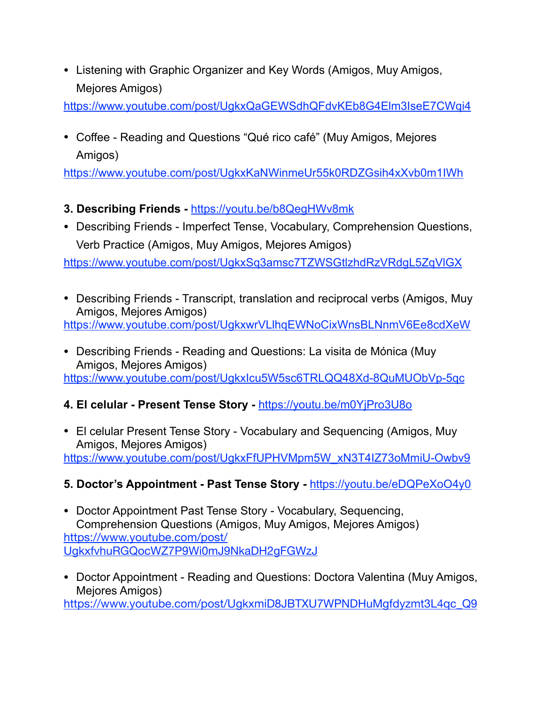• Listening with Graphic Organizer and Key Words (Amigos, Muy Amigos, Mejores Amigos)

<https://www.youtube.com/post/UgkxQaGEWSdhQFdvKEb8G4Elm3IseE7CWqi4>

• Coffee - Reading and Questions "Qué rico café" (Muy Amigos, Mejores Amigos)

<https://www.youtube.com/post/UgkxKaNWinmeUr55k0RDZGsih4xXvb0m1IWh>

## **3. Describing Friends -** <https://youtu.be/b8QegHWv8mk>

• Describing Friends - Imperfect Tense, Vocabulary, Comprehension Questions, Verb Practice (Amigos, Muy Amigos, Mejores Amigos)

<https://www.youtube.com/post/UgkxSq3amsc7TZWSGtlzhdRzVRdgL5ZqVlGX>

- Describing Friends Transcript, translation and reciprocal verbs (Amigos, Muy Amigos, Mejores Amigos) <https://www.youtube.com/post/UgkxwrVLlhqEWNoCixWnsBLNnmV6Ee8cdXeW>
- Describing Friends Reading and Questions: La visita de Mónica (Muy Amigos, Mejores Amigos) <https://www.youtube.com/post/UgkxIcu5W5sc6TRLQQ48Xd-8QuMUObVp-5qc>

## **4. El celular - Present Tense Story -** <https://youtu.be/m0YjPro3U8o>

• El celular Present Tense Story - Vocabulary and Sequencing (Amigos, Muy Amigos, Mejores Amigos) [https://www.youtube.com/post/UgkxFfUPHVMpm5W\\_xN3T4IZ73oMmiU-Owbv9](https://www.youtube.com/post/UgkxFfUPHVMpm5W_xN3T4IZ73oMmiU-Owbv9)

### **5. Doctor's Appointment - Past Tense Story -** <https://youtu.be/eDQPeXoO4y0>

- Doctor Appointment Past Tense Story Vocabulary, Sequencing, Comprehension Questions (Amigos, Muy Amigos, Mejores Amigos) [https://www.youtube.com/post/](https://www.youtube.com/post/UgkxfvhuRGQocWZ7P9Wi0mJ9NkaDH2gFGWzJ) [UgkxfvhuRGQocWZ7P9Wi0mJ9NkaDH2gFGWzJ](https://www.youtube.com/post/UgkxfvhuRGQocWZ7P9Wi0mJ9NkaDH2gFGWzJ)
- Doctor Appointment Reading and Questions: Doctora Valentina (Muy Amigos, Mejores Amigos)

[https://www.youtube.com/post/UgkxmiD8JBTXU7WPNDHuMgfdyzmt3L4qc\\_Q9](https://www.youtube.com/post/UgkxmiD8JBTXU7WPNDHuMgfdyzmt3L4qc_Q9)